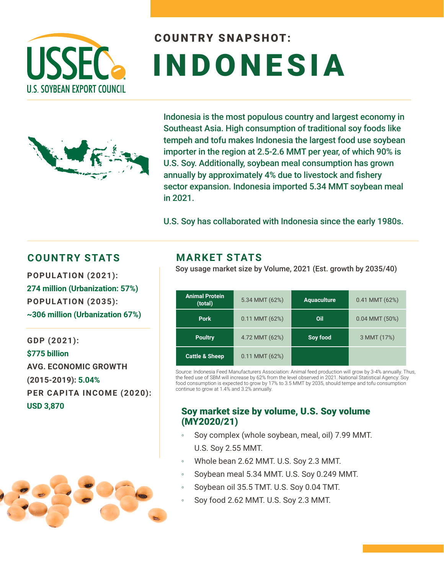

# COUNTRY SNAPSHOT: INDONESIA



Indonesia is the most populous country and largest economy in Southeast Asia. High consumption of traditional soy foods like tempeh and tofu makes Indonesia the largest food use soybean importer in the region at 2.5-2.6 MMT per year, of which 90% is U.S. Soy. Additionally, soybean meal consumption has grown annually by approximately 4% due to livestock and fishery sector expansion. Indonesia imported 5.34 MMT soybean meal in 2021.

U.S. Soy has collaborated with Indonesia since the early 1980s.

### **COUNTRY STATS MARKET STATS**

**274 million (Urbanization: 57%) POPULATION (2035): ~306 million (Urbanization 67%)** 

**GDP (2021): \$775 billion AVG. ECONOMIC GROWTH (2015-2019): 5.04% PER CAPITA INCOME (2020): USD 3,870** 



Soy usage market size by Volume, 2021 (Est. growth by 2035/40) **POPULATION (2021):** 

| <b>Animal Protein</b><br>(total) | 5.34 MMT (62%)   | <b>Aquaculture</b> | $0.41$ MMT $(62%)$ |
|----------------------------------|------------------|--------------------|--------------------|
| <b>Pork</b>                      | $0.11$ MMT (62%) | Oil                | $0.04$ MMT $(50%)$ |
| <b>Poultry</b>                   | 4.72 MMT (62%)   | Soy food           | 3 MMT (17%)        |
| <b>Cattle &amp; Sheep</b>        | $0.11$ MMT (62%) |                    |                    |

Source: Indonesia Feed Manufacturers Association: Animal feed production will grow by 3-4% annually. Thus, the feed use of SBM will increase by 62% from the level observed in 2021. National Statistical Agency: Soy food consumption is expected to grow by 17% to 3.5 MMT by 2035, should tempe and tofu consumption continue to grow at 1.4% and 3.2% annually.

#### Soy market size by volume, U.S. Soy volume (MY2020/21)

- Soy complex (whole soybean, meal, oil) 7.99 MMT. U.S. Soy 2.55 MMT.
- Whole bean 2.62 MMT. U.S. Soy 2.3 MMT.
- Soybean meal 5.34 MMT. U.S. Soy 0.249 MMT.
- Soybean oil 35.5 TMT. U.S. Soy 0.04 TMT.
- Soy food 2.62 MMT. U.S. Soy 2.3 MMT.